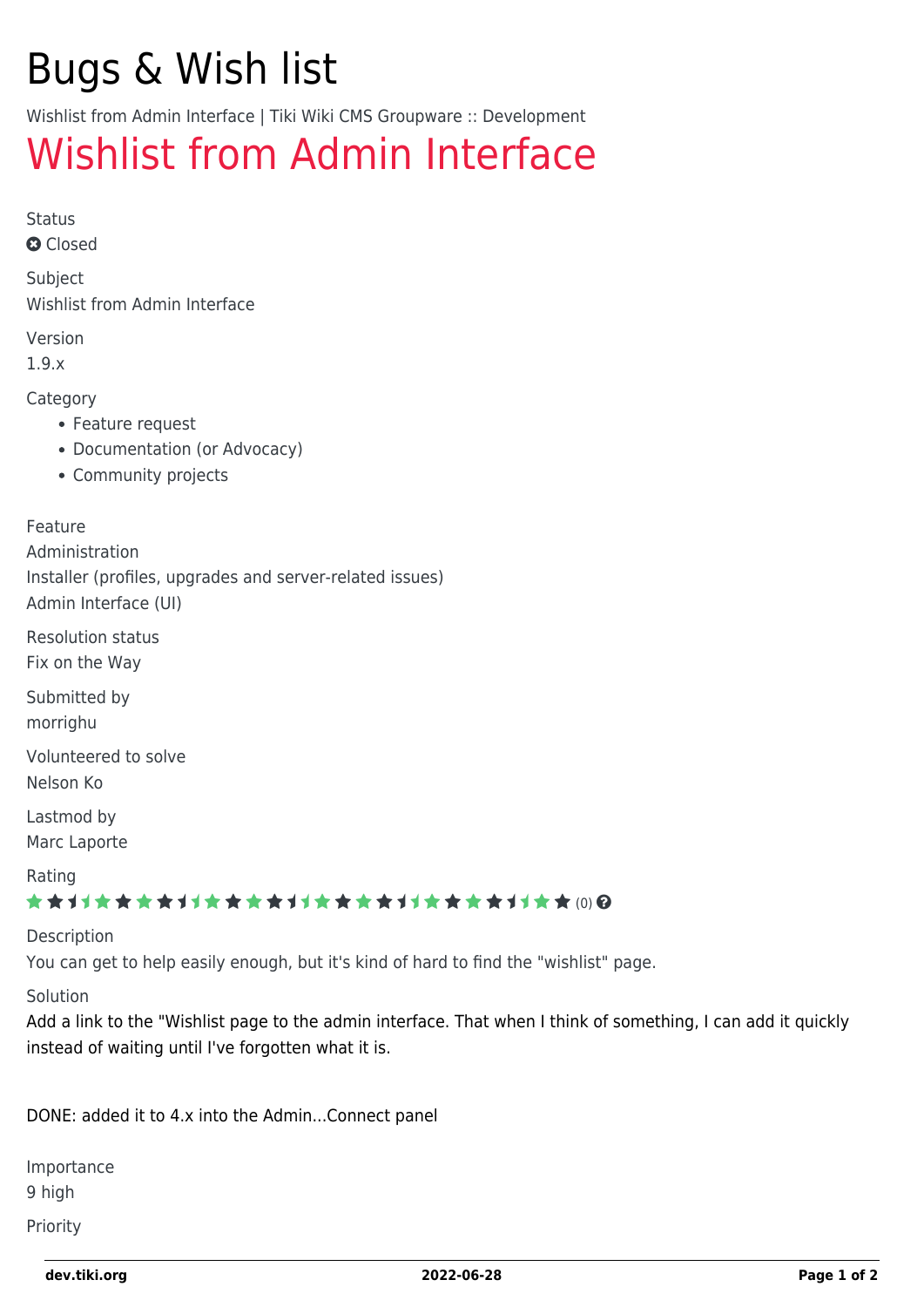# Bugs & Wish list

Wishlist from Admin Interface | Tiki Wiki CMS Groupware :: Development

## [Wishlist from Admin Interface](https://dev.tiki.org/item1713-Wishlist-from-Admin-Interface)

Status

**Q** Closed

Subject Wishlist from Admin Interface

Version

1.9.x

Category

- Feature request
- Documentation (or Advocacy)
- Community projects

#### Feature

Administration Installer (profiles, upgrades and server-related issues) Admin Interface (UI)

Resolution status Fix on the Way

Submitted by

morrighu

Volunteered to solve Nelson Ko

Lastmod by Marc Laporte

Rating

#### ★★→★★★★→★★★★★→★★★★★★★★★★★★★★ (0) @

#### Description

You can get to help easily enough, but it's kind of hard to find the "wishlist" page.

Solution

Add a link to the "Wishlist page to the admin interface. That when I think of something, I can add it quickly instead of waiting until I've forgotten what it is.

DONE: added it to 4.x into the Admin...Connect panel

Importance 9 high

Priority